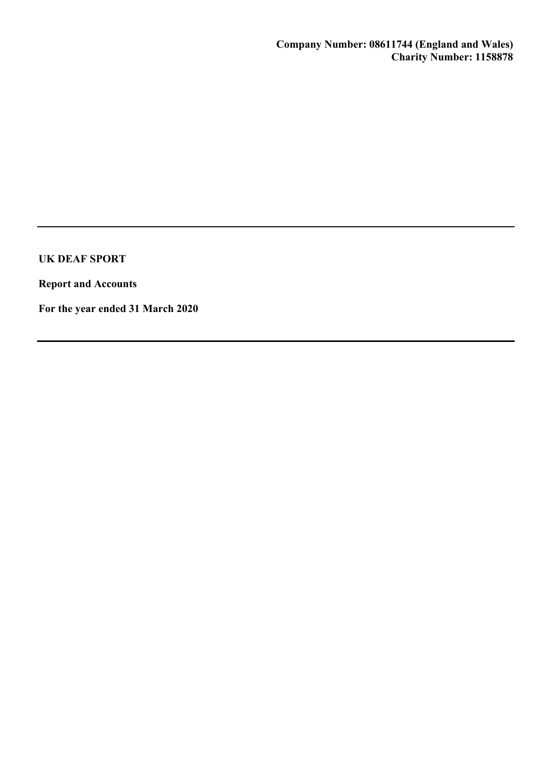Report and Accounts

For the year ended 31 March 2020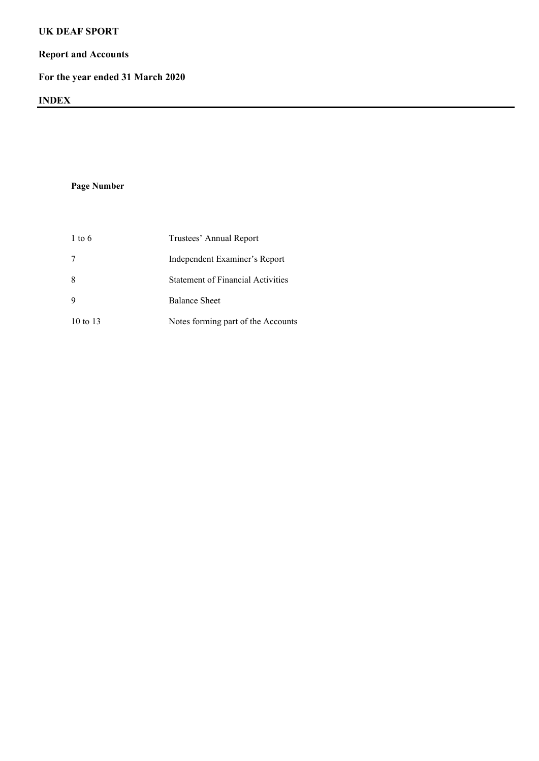## Report and Accounts

# For the year ended 31 March 2020

## INDEX

Page Number

| $1 \text{ to } 6$   | Trustees' Annual Report                  |
|---------------------|------------------------------------------|
|                     | Independent Examiner's Report            |
| 8                   | <b>Statement of Financial Activities</b> |
|                     | <b>Balance Sheet</b>                     |
| $10 \text{ to } 13$ | Notes forming part of the Accounts       |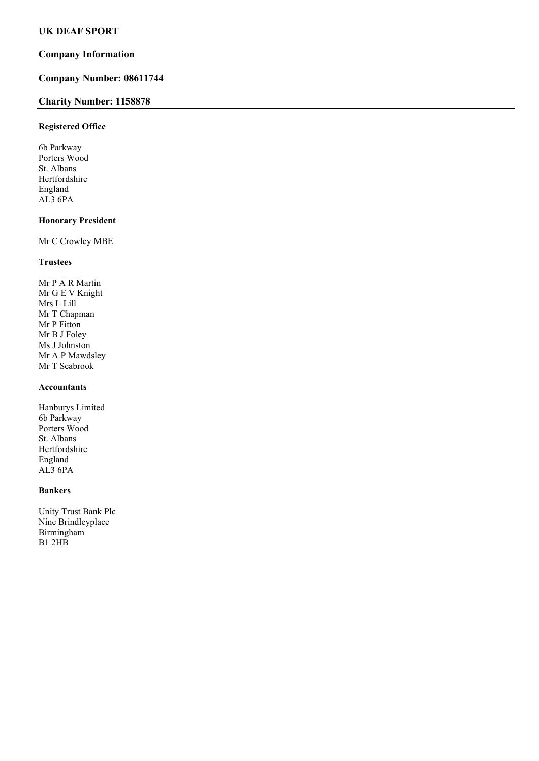## Company Information

## Company Number: 08611744

## Charity Number: 1158878

### Registered Office

6b Parkway Porters Wood St. Albans Hertfordshire England AL3 6PA

### Honorary President

Mr C Crowley MBE

### Trustees

Mr P A R Martin Mr G E V Knight Mrs L Lill Mr T Chapman Mr P Fitton Mr B J Foley Ms J Johnston Mr A P Mawdsley Mr T Seabrook

## Accountants

Hanburys Limited 6b Parkway Porters Wood St. Albans Hertfordshire England AL3 6PA

### Bankers

Unity Trust Bank Plc Nine Brindleyplace Birmingham B1 2HB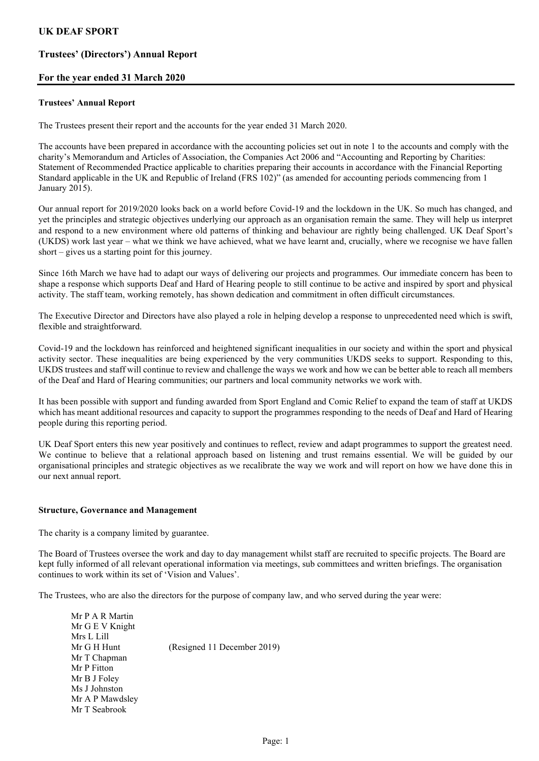## Trustees' (Directors') Annual Report

### For the year ended 31 March 2020

#### Trustees' Annual Report

The Trustees present their report and the accounts for the year ended 31 March 2020.

The accounts have been prepared in accordance with the accounting policies set out in note 1 to the accounts and comply with the charity's Memorandum and Articles of Association, the Companies Act 2006 and "Accounting and Reporting by Charities: Statement of Recommended Practice applicable to charities preparing their accounts in accordance with the Financial Reporting Standard applicable in the UK and Republic of Ireland (FRS 102)" (as amended for accounting periods commencing from 1 January 2015).

Our annual report for 2019/2020 looks back on a world before Covid-19 and the lockdown in the UK. So much has changed, and yet the principles and strategic objectives underlying our approach as an organisation remain the same. They will help us interpret and respond to a new environment where old patterns of thinking and behaviour are rightly being challenged. UK Deaf Sport's (UKDS) work last year – what we think we have achieved, what we have learnt and, crucially, where we recognise we have fallen short – gives us a starting point for this journey.

Since 16th March we have had to adapt our ways of delivering our projects and programmes. Our immediate concern has been to shape a response which supports Deaf and Hard of Hearing people to still continue to be active and inspired by sport and physical activity. The staff team, working remotely, has shown dedication and commitment in often difficult circumstances.

The Executive Director and Directors have also played a role in helping develop a response to unprecedented need which is swift, flexible and straightforward.

Covid-19 and the lockdown has reinforced and heightened significant inequalities in our society and within the sport and physical activity sector. These inequalities are being experienced by the very communities UKDS seeks to support. Responding to this, UKDS trustees and staff will continue to review and challenge the ways we work and how we can be better able to reach all members of the Deaf and Hard of Hearing communities; our partners and local community networks we work with.

It has been possible with support and funding awarded from Sport England and Comic Relief to expand the team of staff at UKDS which has meant additional resources and capacity to support the programmes responding to the needs of Deaf and Hard of Hearing people during this reporting period.

UK Deaf Sport enters this new year positively and continues to reflect, review and adapt programmes to support the greatest need. We continue to believe that a relational approach based on listening and trust remains essential. We will be guided by our organisational principles and strategic objectives as we recalibrate the way we work and will report on how we have done this in our next annual report.

#### Structure, Governance and Management

The charity is a company limited by guarantee.

The Board of Trustees oversee the work and day to day management whilst staff are recruited to specific projects. The Board are kept fully informed of all relevant operational information via meetings, sub committees and written briefings. The organisation continues to work within its set of 'Vision and Values'.

The Trustees, who are also the directors for the purpose of company law, and who served during the year were:

| Mr P A R Martin |                             |
|-----------------|-----------------------------|
| Mr G E V Knight |                             |
| Mrs L Lill      |                             |
| Mr G H Hunt     | (Resigned 11 December 2019) |
| Mr T Chapman    |                             |
| Mr P Fitton     |                             |
| Mr B J Foley    |                             |
| Ms J Johnston   |                             |
| Mr A P Mawdsley |                             |
| Mr T Seabrook   |                             |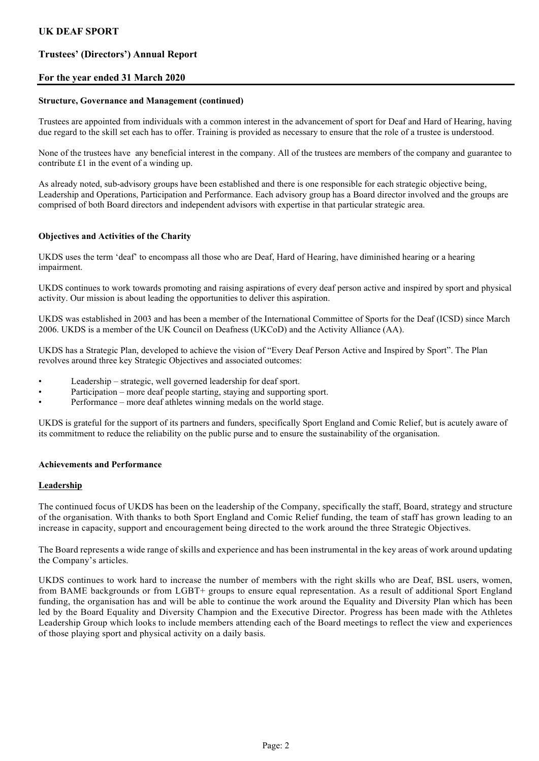## Trustees' (Directors') Annual Report

### For the year ended 31 March 2020

#### Structure, Governance and Management (continued)

Trustees are appointed from individuals with a common interest in the advancement of sport for Deaf and Hard of Hearing, having due regard to the skill set each has to offer. Training is provided as necessary to ensure that the role of a trustee is understood.

None of the trustees have any beneficial interest in the company. All of the trustees are members of the company and guarantee to contribute £1 in the event of a winding up.

As already noted, sub-advisory groups have been established and there is one responsible for each strategic objective being, Leadership and Operations, Participation and Performance. Each advisory group has a Board director involved and the groups are comprised of both Board directors and independent advisors with expertise in that particular strategic area.

#### Objectives and Activities of the Charity

UKDS uses the term 'deaf' to encompass all those who are Deaf, Hard of Hearing, have diminished hearing or a hearing impairment.

UKDS continues to work towards promoting and raising aspirations of every deaf person active and inspired by sport and physical activity. Our mission is about leading the opportunities to deliver this aspiration.

UKDS was established in 2003 and has been a member of the International Committee of Sports for the Deaf (ICSD) since March 2006. UKDS is a member of the UK Council on Deafness (UKCoD) and the Activity Alliance (AA).

UKDS has a Strategic Plan, developed to achieve the vision of "Every Deaf Person Active and Inspired by Sport". The Plan revolves around three key Strategic Objectives and associated outcomes:

- Leadership strategic, well governed leadership for deaf sport.
- Participation more deaf people starting, staying and supporting sport.
- Performance more deaf athletes winning medals on the world stage.

UKDS is grateful for the support of its partners and funders, specifically Sport England and Comic Relief, but is acutely aware of its commitment to reduce the reliability on the public purse and to ensure the sustainability of the organisation.

#### Achievements and Performance

#### **Leadership**

The continued focus of UKDS has been on the leadership of the Company, specifically the staff, Board, strategy and structure of the organisation. With thanks to both Sport England and Comic Relief funding, the team of staff has grown leading to an increase in capacity, support and encouragement being directed to the work around the three Strategic Objectives.

The Board represents a wide range of skills and experience and has been instrumental in the key areas of work around updating the Company's articles.

UKDS continues to work hard to increase the number of members with the right skills who are Deaf, BSL users, women, from BAME backgrounds or from LGBT+ groups to ensure equal representation. As a result of additional Sport England funding, the organisation has and will be able to continue the work around the Equality and Diversity Plan which has been led by the Board Equality and Diversity Champion and the Executive Director. Progress has been made with the Athletes Leadership Group which looks to include members attending each of the Board meetings to reflect the view and experiences of those playing sport and physical activity on a daily basis.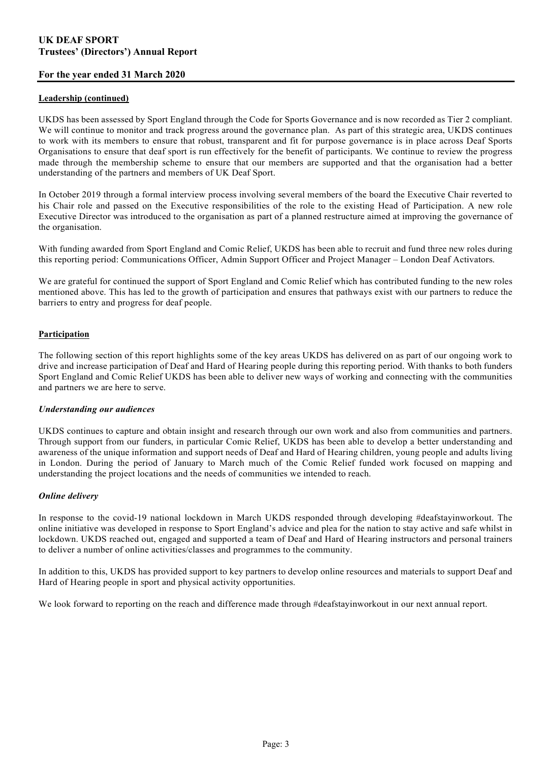### For the year ended 31 March 2020

#### Leadership (continued)

UKDS has been assessed by Sport England through the Code for Sports Governance and is now recorded as Tier 2 compliant. We will continue to monitor and track progress around the governance plan. As part of this strategic area, UKDS continues to work with its members to ensure that robust, transparent and fit for purpose governance is in place across Deaf Sports Organisations to ensure that deaf sport is run effectively for the benefit of participants. We continue to review the progress made through the membership scheme to ensure that our members are supported and that the organisation had a better understanding of the partners and members of UK Deaf Sport.

In October 2019 through a formal interview process involving several members of the board the Executive Chair reverted to his Chair role and passed on the Executive responsibilities of the role to the existing Head of Participation. A new role Executive Director was introduced to the organisation as part of a planned restructure aimed at improving the governance of the organisation.

With funding awarded from Sport England and Comic Relief, UKDS has been able to recruit and fund three new roles during this reporting period: Communications Officer, Admin Support Officer and Project Manager – London Deaf Activators.

We are grateful for continued the support of Sport England and Comic Relief which has contributed funding to the new roles mentioned above. This has led to the growth of participation and ensures that pathways exist with our partners to reduce the barriers to entry and progress for deaf people.

### Participation

The following section of this report highlights some of the key areas UKDS has delivered on as part of our ongoing work to drive and increase participation of Deaf and Hard of Hearing people during this reporting period. With thanks to both funders Sport England and Comic Relief UKDS has been able to deliver new ways of working and connecting with the communities and partners we are here to serve.

#### Understanding our audiences

UKDS continues to capture and obtain insight and research through our own work and also from communities and partners. Through support from our funders, in particular Comic Relief, UKDS has been able to develop a better understanding and awareness of the unique information and support needs of Deaf and Hard of Hearing children, young people and adults living in London. During the period of January to March much of the Comic Relief funded work focused on mapping and understanding the project locations and the needs of communities we intended to reach.

#### Online delivery

In response to the covid-19 national lockdown in March UKDS responded through developing #deafstayinworkout. The online initiative was developed in response to Sport England's advice and plea for the nation to stay active and safe whilst in lockdown. UKDS reached out, engaged and supported a team of Deaf and Hard of Hearing instructors and personal trainers to deliver a number of online activities/classes and programmes to the community.

In addition to this, UKDS has provided support to key partners to develop online resources and materials to support Deaf and Hard of Hearing people in sport and physical activity opportunities.

We look forward to reporting on the reach and difference made through #deafstayinworkout in our next annual report.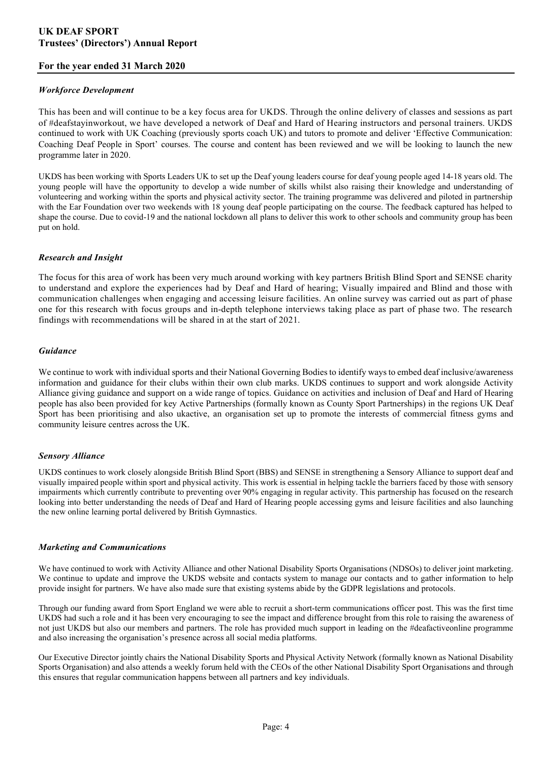### For the year ended 31 March 2020

#### Workforce Development

This has been and will continue to be a key focus area for UKDS. Through the online delivery of classes and sessions as part of #deafstayinworkout, we have developed a network of Deaf and Hard of Hearing instructors and personal trainers. UKDS continued to work with UK Coaching (previously sports coach UK) and tutors to promote and deliver 'Effective Communication: Coaching Deaf People in Sport' courses. The course and content has been reviewed and we will be looking to launch the new programme later in 2020.

UKDS has been working with Sports Leaders UK to set up the Deaf young leaders course for deaf young people aged 14-18 years old. The young people will have the opportunity to develop a wide number of skills whilst also raising their knowledge and understanding of volunteering and working within the sports and physical activity sector. The training programme was delivered and piloted in partnership with the Ear Foundation over two weekends with 18 young deaf people participating on the course. The feedback captured has helped to shape the course. Due to covid-19 and the national lockdown all plans to deliver this work to other schools and community group has been put on hold.

### Research and Insight

The focus for this area of work has been very much around working with key partners British Blind Sport and SENSE charity to understand and explore the experiences had by Deaf and Hard of hearing; Visually impaired and Blind and those with communication challenges when engaging and accessing leisure facilities. An online survey was carried out as part of phase one for this research with focus groups and in-depth telephone interviews taking place as part of phase two. The research findings with recommendations will be shared in at the start of 2021.

#### Guidance

We continue to work with individual sports and their National Governing Bodies to identify ways to embed deaf inclusive/awareness information and guidance for their clubs within their own club marks. UKDS continues to support and work alongside Activity Alliance giving guidance and support on a wide range of topics. Guidance on activities and inclusion of Deaf and Hard of Hearing people has also been provided for key Active Partnerships (formally known as County Sport Partnerships) in the regions UK Deaf Sport has been prioritising and also ukactive, an organisation set up to promote the interests of commercial fitness gyms and community leisure centres across the UK.

#### Sensory Alliance

UKDS continues to work closely alongside British Blind Sport (BBS) and SENSE in strengthening a Sensory Alliance to support deaf and visually impaired people within sport and physical activity. This work is essential in helping tackle the barriers faced by those with sensory impairments which currently contribute to preventing over 90% engaging in regular activity. This partnership has focused on the research looking into better understanding the needs of Deaf and Hard of Hearing people accessing gyms and leisure facilities and also launching the new online learning portal delivered by British Gymnastics.

#### Marketing and Communications

We have continued to work with Activity Alliance and other National Disability Sports Organisations (NDSOs) to deliver joint marketing. We continue to update and improve the UKDS website and contacts system to manage our contacts and to gather information to help provide insight for partners. We have also made sure that existing systems abide by the GDPR legislations and protocols.

Through our funding award from Sport England we were able to recruit a short-term communications officer post. This was the first time UKDS had such a role and it has been very encouraging to see the impact and difference brought from this role to raising the awareness of not just UKDS but also our members and partners. The role has provided much support in leading on the #deafactiveonline programme and also increasing the organisation's presence across all social media platforms.

Our Executive Director jointly chairs the National Disability Sports and Physical Activity Network (formally known as National Disability Sports Organisation) and also attends a weekly forum held with the CEOs of the other National Disability Sport Organisations and through this ensures that regular communication happens between all partners and key individuals.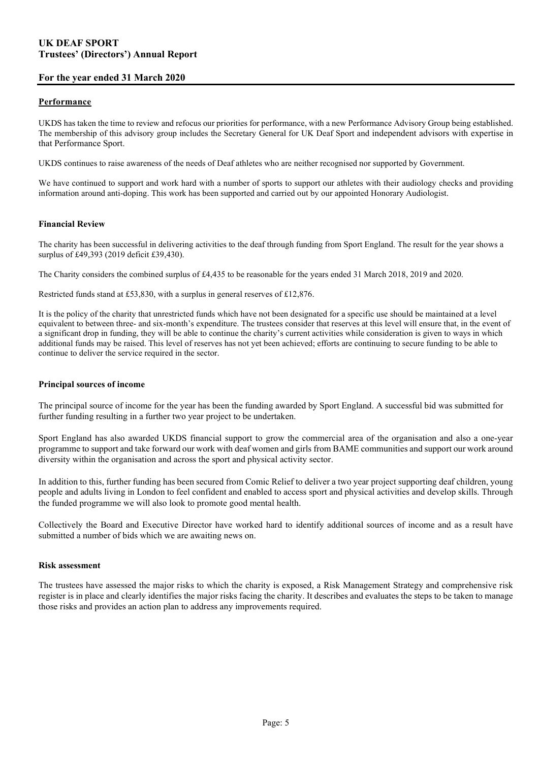### For the year ended 31 March 2020

#### Performance

UKDS has taken the time to review and refocus our priorities for performance, with a new Performance Advisory Group being established. The membership of this advisory group includes the Secretary General for UK Deaf Sport and independent advisors with expertise in that Performance Sport.

UKDS continues to raise awareness of the needs of Deaf athletes who are neither recognised nor supported by Government.

We have continued to support and work hard with a number of sports to support our athletes with their audiology checks and providing information around anti-doping. This work has been supported and carried out by our appointed Honorary Audiologist.

#### Financial Review

The charity has been successful in delivering activities to the deaf through funding from Sport England. The result for the year shows a surplus of £49,393 (2019 deficit £39,430).

The Charity considers the combined surplus of £4,435 to be reasonable for the years ended 31 March 2018, 2019 and 2020.

Restricted funds stand at £53,830, with a surplus in general reserves of £12,876.

It is the policy of the charity that unrestricted funds which have not been designated for a specific use should be maintained at a level equivalent to between three- and six-month's expenditure. The trustees consider that reserves at this level will ensure that, in the event of a significant drop in funding, they will be able to continue the charity's current activities while consideration is given to ways in which additional funds may be raised. This level of reserves has not yet been achieved; efforts are continuing to secure funding to be able to continue to deliver the service required in the sector.

#### Principal sources of income

The principal source of income for the year has been the funding awarded by Sport England. A successful bid was submitted for further funding resulting in a further two year project to be undertaken.

Sport England has also awarded UKDS financial support to grow the commercial area of the organisation and also a one-year programme to support and take forward our work with deaf women and girls from BAME communities and support our work around diversity within the organisation and across the sport and physical activity sector.

In addition to this, further funding has been secured from Comic Relief to deliver a two year project supporting deaf children, young people and adults living in London to feel confident and enabled to access sport and physical activities and develop skills. Through the funded programme we will also look to promote good mental health.

Collectively the Board and Executive Director have worked hard to identify additional sources of income and as a result have submitted a number of bids which we are awaiting news on.

#### Risk assessment

The trustees have assessed the major risks to which the charity is exposed, a Risk Management Strategy and comprehensive risk register is in place and clearly identifies the major risks facing the charity. It describes and evaluates the steps to be taken to manage those risks and provides an action plan to address any improvements required.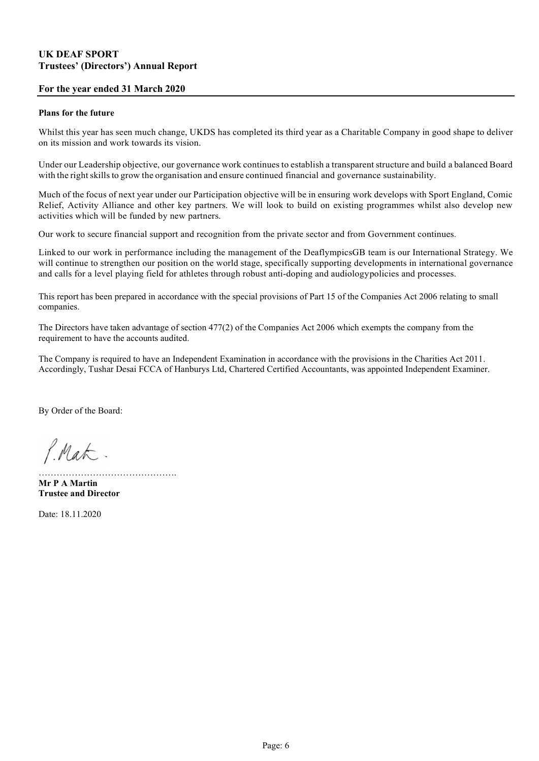### For the year ended 31 March 2020

#### Plans for the future

Whilst this year has seen much change, UKDS has completed its third year as a Charitable Company in good shape to deliver on its mission and work towards its vision.

Under our Leadership objective, our governance work continues to establish a transparent structure and build a balanced Board with the right skills to grow the organisation and ensure continued financial and governance sustainability.

Much of the focus of next year under our Participation objective will be in ensuring work develops with Sport England, Comic Relief, Activity Alliance and other key partners. We will look to build on existing programmes whilst also develop new activities which will be funded by new partners.

Our work to secure financial support and recognition from the private sector and from Government continues.

Linked to our work in performance including the management of the DeaflympicsGB team is our International Strategy. We will continue to strengthen our position on the world stage, specifically supporting developments in international governance and calls for a level playing field for athletes through robust anti-doping and audiology policies and processes.

This report has been prepared in accordance with the special provisions of Part 15 of the Companies Act 2006 relating to small companies.

The Directors have taken advantage of section 477(2) of the Companies Act 2006 which exempts the company from the requirement to have the accounts audited.

The Company is required to have an Independent Examination in accordance with the provisions in the Charities Act 2011. Accordingly, Tushar Desai FCCA of Hanburys Ltd, Chartered Certified Accountants, was appointed Independent Examiner.

By Order of the Board:

P.Mat.

Mr P A Martin Trustee and Director

…………………………

Date: 18.11.2020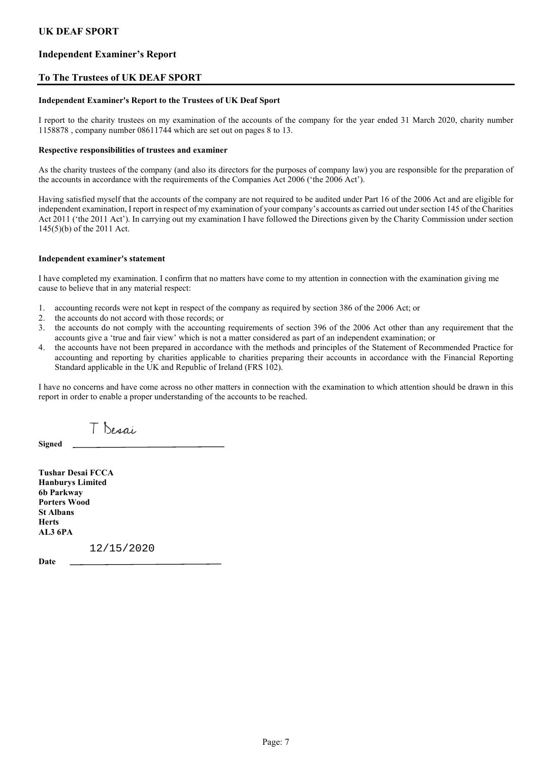### Independent Examiner's Report

### To The Trustees of UK DEAF SPORT

#### Independent Examiner's Report to the Trustees of UK Deaf Sport

I report to the charity trustees on my examination of the accounts of the company for the year ended 31 March 2020, charity number 1158878 , company number 08611744 which are set out on pages 8 to 13.

#### Respective responsibilities of trustees and examiner

As the charity trustees of the company (and also its directors for the purposes of company law) you are responsible for the preparation of the accounts in accordance with the requirements of the Companies Act 2006 ('the 2006 Act').

Having satisfied myself that the accounts of the company are not required to be audited under Part 16 of the 2006 Act and are eligible for independent examination, I report in respect of my examination of your company's accounts as carried out under section 145 of the Charities Act 2011 ('the 2011 Act'). In carrying out my examination I have followed the Directions given by the Charity Commission under section 145(5)(b) of the 2011 Act.

#### Independent examiner's statement

I have completed my examination. I confirm that no matters have come to my attention in connection with the examination giving me cause to believe that in any material respect:

- 1. accounting records were not kept in respect of the company as required by section 386 of the 2006 Act; or
- 2. the accounts do not accord with those records; or
- 3. the accounts do not comply with the accounting requirements of section 396 of the 2006 Act other than any requirement that the accounts give a 'true and fair view' which is not a matter considered as part of an independent examination; or
- 4. the accounts have not been prepared in accordance with the methods and principles of the Statement of Recommended Practice for accounting and reporting by charities applicable to charities preparing their accounts in accordance with the Financial Reporting Standard applicable in the UK and Republic of Ireland (FRS 102).

I have no concerns and have come across no other matters in connection with the examination to which attention should be drawn in this report in order to enable a proper understanding of the accounts to be reached.

T Desai

Signed

Tushar Desai FCCA Hanburys Limited 6b Parkway Porters Wood St Albans Herts AL3 6PA

12/15/2020

Date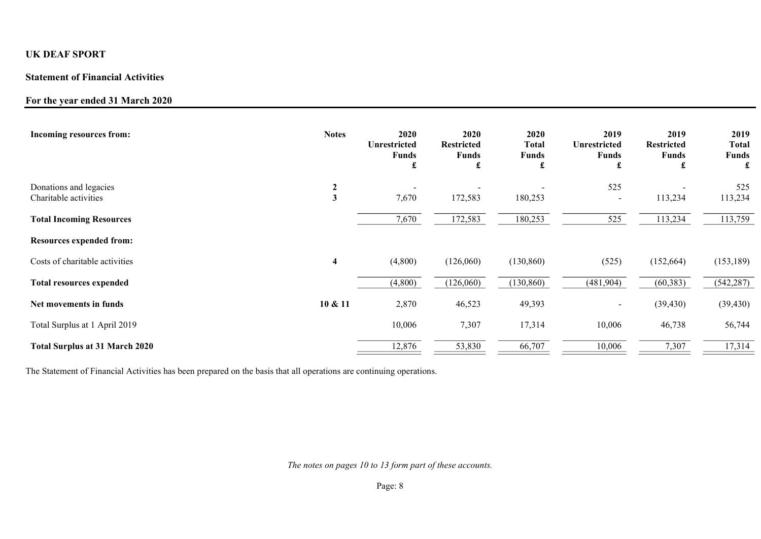## Statement of Financial Activities

## For the year ended 31 March 2020

| Incoming resources from:                        | <b>Notes</b> | 2020<br>Unrestricted<br><b>Funds</b><br>£ | 2020<br><b>Restricted</b><br><b>Funds</b><br>$\mathbf f$ | 2020<br>Total<br><b>Funds</b><br>£ | 2019<br><b>Unrestricted</b><br><b>Funds</b><br>£ | 2019<br><b>Restricted</b><br><b>Funds</b><br>£ | 2019<br><b>Total</b><br><b>Funds</b><br>£ |
|-------------------------------------------------|--------------|-------------------------------------------|----------------------------------------------------------|------------------------------------|--------------------------------------------------|------------------------------------------------|-------------------------------------------|
| Donations and legacies<br>Charitable activities | 2<br>3       | 7,670                                     | 172,583                                                  | 180,253                            | 525<br>$\overline{\phantom{a}}$                  | 113,234                                        | 525<br>113,234                            |
| <b>Total Incoming Resources</b>                 |              | 7,670                                     | 172,583                                                  | 180,253                            | 525                                              | 113,234                                        | 113,759                                   |
| <b>Resources expended from:</b>                 |              |                                           |                                                          |                                    |                                                  |                                                |                                           |
| Costs of charitable activities                  | 4            | (4,800)                                   | (126,060)                                                | (130, 860)                         | (525)                                            | (152, 664)                                     | (153, 189)                                |
| <b>Total resources expended</b>                 |              | (4,800)                                   | (126,060)                                                | (130, 860)                         | (481,904)                                        | (60, 383)                                      | (542, 287)                                |
| Net movements in funds                          | 10 & 11      | 2,870                                     | 46,523                                                   | 49,393                             | Ξ.                                               | (39, 430)                                      | (39, 430)                                 |
| Total Surplus at 1 April 2019                   |              | 10,006                                    | 7,307                                                    | 17,314                             | 10,006                                           | 46,738                                         | 56,744                                    |
| <b>Total Surplus at 31 March 2020</b>           |              | 12,876                                    | 53,830                                                   | 66,707                             | 10,006                                           | 7,307                                          | 17,314                                    |

The Statement of Financial Activities has been prepared on the basis that all operations are continuing operations.

The notes on pages 10 to 13 form part of these accounts.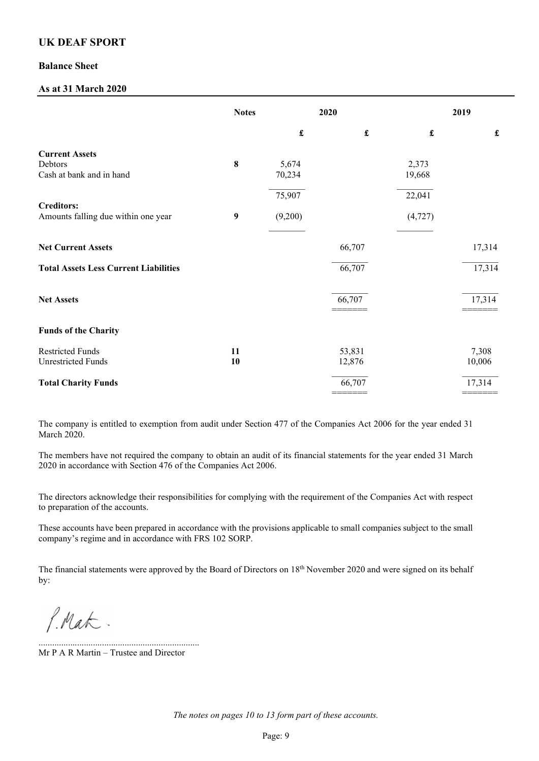### Balance Sheet

## As at 31 March 2020

|                                                              | <b>Notes</b> |                      | 2020                 |                    | 2019                 |
|--------------------------------------------------------------|--------------|----------------------|----------------------|--------------------|----------------------|
|                                                              |              | $\pmb{\mathfrak{L}}$ | $\pmb{\mathfrak{L}}$ | $\pmb{\mathbf{f}}$ | $\pmb{\mathfrak{L}}$ |
| <b>Current Assets</b><br>Debtors<br>Cash at bank and in hand | 8            | 5,674<br>70,234      |                      | 2,373<br>19,668    |                      |
|                                                              |              | 75,907               |                      | 22,041             |                      |
| <b>Creditors:</b><br>Amounts falling due within one year     | 9            | (9,200)              |                      | (4, 727)           |                      |
| <b>Net Current Assets</b>                                    |              |                      | 66,707               |                    | 17,314               |
| <b>Total Assets Less Current Liabilities</b>                 |              |                      | 66,707               |                    | 17,314               |
| <b>Net Assets</b>                                            |              |                      | 66,707               |                    | 17,314               |
| <b>Funds of the Charity</b>                                  |              |                      |                      |                    |                      |
| <b>Restricted Funds</b><br><b>Unrestricted Funds</b>         | 11<br>10     |                      | 53,831<br>12,876     |                    | 7,308<br>10,006      |
| <b>Total Charity Funds</b>                                   |              |                      | 66,707<br>-------    |                    | 17,314<br>=======    |

The company is entitled to exemption from audit under Section 477 of the Companies Act 2006 for the year ended 31 March 2020.

The members have not required the company to obtain an audit of its financial statements for the year ended 31 March 2020 in accordance with Section 476 of the Companies Act 2006.

The directors acknowledge their responsibilities for complying with the requirement of the Companies Act with respect to preparation of the accounts.

These accounts have been prepared in accordance with the provisions applicable to small companies subject to the small company's regime and in accordance with FRS 102 SORP.

The financial statements were approved by the Board of Directors on 18<sup>th</sup> November 2020 and were signed on its behalf by:

P. Mat.

Mr P A R Martin – Trustee and Director

.......................................................................

The notes on pages 10 to 13 form part of these accounts.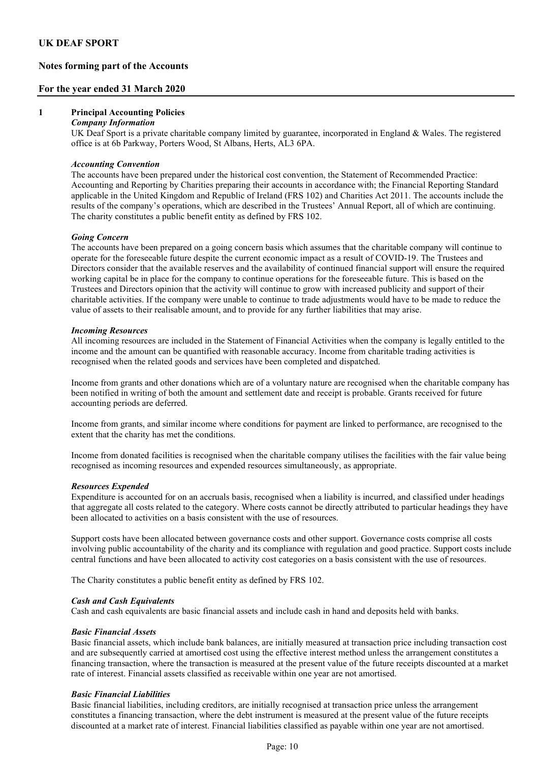## Notes forming part of the Accounts

### For the year ended 31 March 2020

#### 1 Principal Accounting Policies

#### Company Information

UK Deaf Sport is a private charitable company limited by guarantee, incorporated in England & Wales. The registered office is at 6b Parkway, Porters Wood, St Albans, Herts, AL3 6PA.

#### Accounting Convention

The accounts have been prepared under the historical cost convention, the Statement of Recommended Practice: Accounting and Reporting by Charities preparing their accounts in accordance with; the Financial Reporting Standard applicable in the United Kingdom and Republic of Ireland (FRS 102) and Charities Act 2011. The accounts include the results of the company's operations, which are described in the Trustees' Annual Report, all of which are continuing. The charity constitutes a public benefit entity as defined by FRS 102.

#### Going Concern

The accounts have been prepared on a going concern basis which assumes that the charitable company will continue to operate for the foreseeable future despite the current economic impact as a result of COVID-19. The Trustees and Directors consider that the available reserves and the availability of continued financial support will ensure the required working capital be in place for the company to continue operations for the foreseeable future. This is based on the Trustees and Directors opinion that the activity will continue to grow with increased publicity and support of their charitable activities. If the company were unable to continue to trade adjustments would have to be made to reduce the value of assets to their realisable amount, and to provide for any further liabilities that may arise.

#### Incoming Resources

All incoming resources are included in the Statement of Financial Activities when the company is legally entitled to the income and the amount can be quantified with reasonable accuracy. Income from charitable trading activities is recognised when the related goods and services have been completed and dispatched.

Income from grants and other donations which are of a voluntary nature are recognised when the charitable company has been notified in writing of both the amount and settlement date and receipt is probable. Grants received for future accounting periods are deferred.

Income from grants, and similar income where conditions for payment are linked to performance, are recognised to the extent that the charity has met the conditions.

Income from donated facilities is recognised when the charitable company utilises the facilities with the fair value being recognised as incoming resources and expended resources simultaneously, as appropriate.

#### Resources Expended

Expenditure is accounted for on an accruals basis, recognised when a liability is incurred, and classified under headings that aggregate all costs related to the category. Where costs cannot be directly attributed to particular headings they have been allocated to activities on a basis consistent with the use of resources.

Support costs have been allocated between governance costs and other support. Governance costs comprise all costs involving public accountability of the charity and its compliance with regulation and good practice. Support costs include central functions and have been allocated to activity cost categories on a basis consistent with the use of resources.

The Charity constitutes a public benefit entity as defined by FRS 102.

#### Cash and Cash Equivalents

Cash and cash equivalents are basic financial assets and include cash in hand and deposits held with banks.

#### Basic Financial Assets

 Basic financial assets, which include bank balances, are initially measured at transaction price including transaction cost and are subsequently carried at amortised cost using the effective interest method unless the arrangement constitutes a financing transaction, where the transaction is measured at the present value of the future receipts discounted at a market rate of interest. Financial assets classified as receivable within one year are not amortised.

#### Basic Financial Liabilities

 Basic financial liabilities, including creditors, are initially recognised at transaction price unless the arrangement constitutes a financing transaction, where the debt instrument is measured at the present value of the future receipts discounted at a market rate of interest. Financial liabilities classified as payable within one year are not amortised.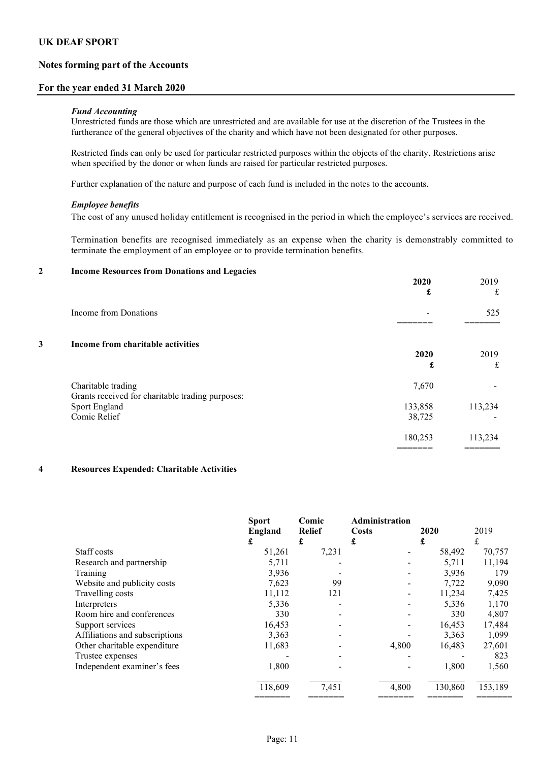### Notes forming part of the Accounts

#### For the year ended 31 March 2020

#### Fund Accounting

Unrestricted funds are those which are unrestricted and are available for use at the discretion of the Trustees in the furtherance of the general objectives of the charity and which have not been designated for other purposes.

Restricted finds can only be used for particular restricted purposes within the objects of the charity. Restrictions arise when specified by the donor or when funds are raised for particular restricted purposes.

Further explanation of the nature and purpose of each fund is included in the notes to the accounts.

#### Employee benefits

The cost of any unused holiday entitlement is recognised in the period in which the employee's services are received.

Termination benefits are recognised immediately as an expense when the charity is demonstrably committed to terminate the employment of an employee or to provide termination benefits.

#### 2 Income Resources from Donations and Legacies

|                                   | 2020<br>£                                                         | 2019<br>$\mathbf f$ |
|-----------------------------------|-------------------------------------------------------------------|---------------------|
| Income from Donations             |                                                                   | 525                 |
| Income from charitable activities |                                                                   |                     |
|                                   | 2020                                                              | 2019                |
|                                   | £                                                                 | £                   |
| Charitable trading                | 7,670                                                             |                     |
|                                   |                                                                   | 113,234             |
| Comic Relief                      | 38,725                                                            |                     |
|                                   | 180,253                                                           | 113,234             |
|                                   | Grants received for charitable trading purposes:<br>Sport England | 133,858             |

#### 4 Resources Expended: Charitable Activities

|                                | <b>Sport</b><br>England<br>£ | Comic<br><b>Relief</b><br>£ | <b>Administration</b><br><b>Costs</b><br>£ | 2020<br>£ | 2019<br>£ |
|--------------------------------|------------------------------|-----------------------------|--------------------------------------------|-----------|-----------|
| Staff costs                    | 51,261                       | 7,231                       |                                            | 58,492    | 70,757    |
| Research and partnership       | 5,711                        |                             |                                            | 5,711     | 11,194    |
| Training                       | 3,936                        |                             |                                            | 3,936     | 179       |
| Website and publicity costs    | 7,623                        | 99                          |                                            | 7,722     | 9,090     |
| Travelling costs               | 11,112                       | 121                         |                                            | 11,234    | 7,425     |
| Interpreters                   | 5,336                        |                             |                                            | 5,336     | 1,170     |
| Room hire and conferences      | 330                          |                             |                                            | 330       | 4,807     |
| Support services               | 16,453                       |                             |                                            | 16,453    | 17,484    |
| Affiliations and subscriptions | 3,363                        |                             |                                            | 3,363     | 1,099     |
| Other charitable expenditure   | 11,683                       |                             | 4,800                                      | 16,483    | 27,601    |
| Trustee expenses               |                              |                             |                                            |           | 823       |
| Independent examiner's fees    | 1,800                        |                             |                                            | 1,800     | 1,560     |
|                                | 118,609                      | 7,451                       | 4,800                                      | 130,860   | 153,189   |

======= ======= ======= ======= =======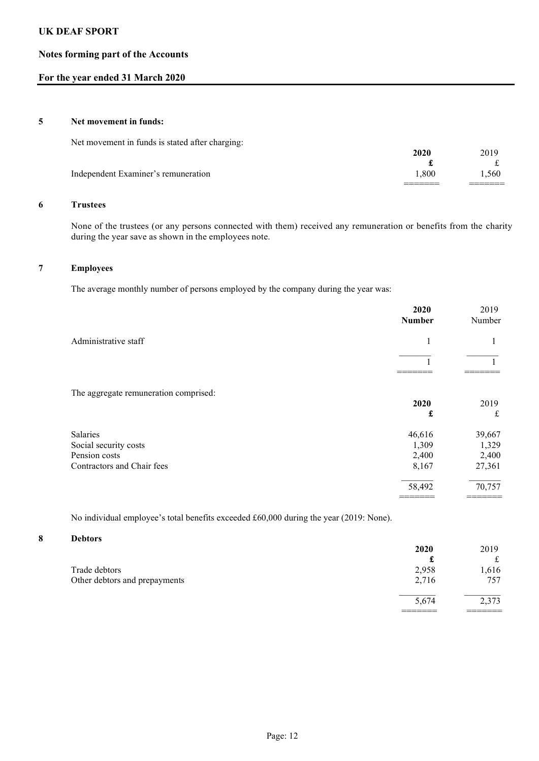## Notes forming part of the Accounts

## For the year ended 31 March 2020

#### 5 Net movement in funds:

Net movement in funds is stated after charging:

|                                     | 2026    | 2019 |
|-------------------------------------|---------|------|
|                                     | a.      |      |
| Independent Examiner's remuneration | 0.800   | .560 |
|                                     | _______ |      |

### 6 Trustees

None of the trustees (or any persons connected with them) received any remuneration or benefits from the charity during the year save as shown in the employees note.

## 7 Employees

The average monthly number of persons employed by the company during the year was:

|                                       | 2020<br><b>Number</b> | 2019<br>Number |
|---------------------------------------|-----------------------|----------------|
| Administrative staff                  | 1                     |                |
|                                       |                       |                |
|                                       |                       |                |
| The aggregate remuneration comprised: |                       |                |
|                                       | 2020                  | 2019           |
|                                       | £                     | £              |
| <b>Salaries</b>                       | 46,616                | 39,667         |
| Social security costs                 | 1,309                 | 1,329          |
| Pension costs                         | 2,400                 | 2,400          |
| Contractors and Chair fees            | 8,167                 | 27,361         |
|                                       | 58,492                | 70,757         |
|                                       |                       |                |

No individual employee's total benefits exceeded £60,000 during the year (2019: None).

#### 8 Debtors

|                               | 2020  | 2019  |
|-------------------------------|-------|-------|
|                               |       | ىلە   |
| Trade debtors                 | 2,958 | .616  |
| Other debtors and prepayments | 2,716 | 757   |
|                               | 5,674 | 2,373 |
|                               |       |       |